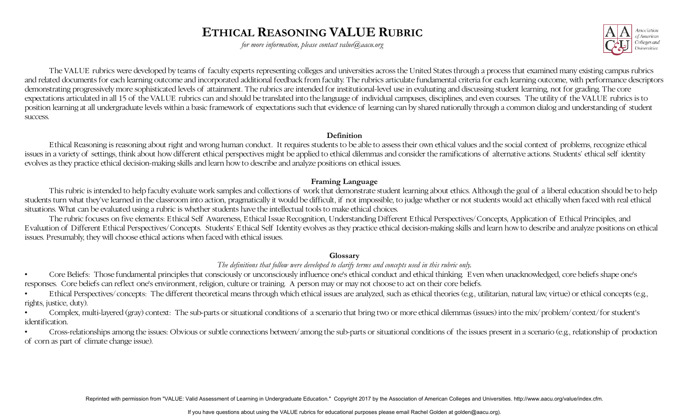# **ETHICAL REASONING VALUE RUBRIC**

*for more information, please contact value@aacu.org* 



 expectations articulated in all 15 of the VALUE rubrics can and should be translated into the language of individual campuses, disciplines, and even courses. The utility of the VALUE rubrics is to The VALUE rubrics were developed by teams of faculty experts representing colleges and universities across the United States through a process that examined many existing campus rubrics and related documents for each learning outcome and incorporated additional feedback from faculty. The rubrics articulate fundamental criteria for each learning outcome, with performance descriptors demonstrating progressively more sophisticated levels of attainment. The rubrics are intended for institutional-level use in evaluating and discussing student learning, not for grading. The core position learning at all undergraduate levels within a basic framework of expectations such that evidence of learning can by shared nationally through a common dialog and understanding of student success.

#### **Definition**

Ethical Reasoning is reasoning about right and wrong human conduct. It requires students to be able to assess their own ethical values and the social context of problems, recognize ethical issues in a variety of settings, think about how different ethical perspectives might be applied to ethical dilemmas and consider the ramifications of alternative actions. Students' ethical self identity evolves as they practice ethical decision-making skills and learn how to describe and analyze positions on ethical issues.

### **Framing Language**

This rubric is intended to help faculty evaluate work samples and collections of work that demonstrate student learning about ethics. Although the goal of a liberal education should be to help students turn what they've learned in the classroom into action, pragmatically it would be difficult, if not impossible, to judge whether or not students would act ethically when faced with real ethical situations. What can be evaluated using a rubric is whether students have the intellectual tools to make ethical choices.

The rubric focuses on five elements: Ethical Self Awareness, Ethical Issue Recognition, Understanding Different Ethical Perspectives/Concepts, Application of Ethical Principles, and E valuation of Different Ethical Perspectives/Concepts. Students' Ethical Self Identity evolves as they practice ethical decision-making skills and learn how to describe and analyze positions on ethical issues. Presumably, they will choose ethical actions when faced with ethical issues.

#### **Glossary**

### *The definitions that follow were developed to clarify terms and concepts used in this rubric only.*

• Core Beliefs: Those fundamental principles that consciously or unconsciously influence one's ethical conduct and ethical thinking. E ven when unacknowledged, core beliefs shape one's responses. Core beliefs can reflect one's environment, religion, culture or training. A person may or may not choose to act on their core beliefs.

• Ethical Perspectives/concepts: The different theoretical means through which ethical issues are analyzed, such as ethical theories (e.g., utilitarian, natural law, virtue) or ethical concepts (e.g., rights, justice, duty).

• Complex, multi-layered (gray) context: The sub-parts or situational conditions of a scenario that bring two or more ethical dilemmas (issues) into the mix/problem/context/ for student's identification.

• Cross-relationships among the issues: Obvious or subtle connections between/among the sub-parts or situational conditions of the issues present in a scenario (e.g., relationship of production of corn as part of climate change issue).

Reprinted with permission from "VALUE: Valid Assessment of Learning in Undergraduate Education." Copyright 2017 by the Association of American Colleges and Universities. http://www.aacu.org/value/index.cfm.